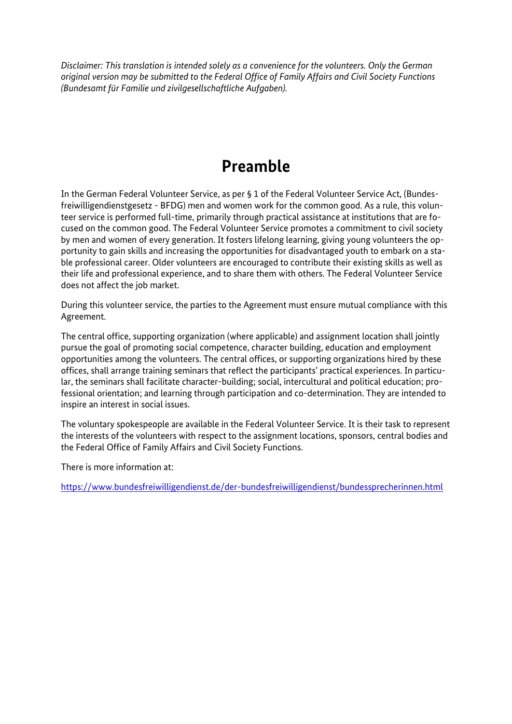*Disclaimer: This translation is intended solely as a convenience for the volunteers. Only the German original version may be submitted to the Federal Office of Family Affairs and Civil Society Functions (Bundesamt für Familie und zivilgesellschaftliche Aufgaben).* 

# **Preamble**

 In the German Federal Volunteer Service, as per § 1 of the Federal Volunteer Service Act, (Bundes- freiwilligendienstgesetz - BFDG) men and women work for the common good. As a rule, this volun- cused on the common good. The Federal Volunteer Service promotes a commitment to civil society by men and women of every generation. It fosters lifelong learning, giving young volunteers the op- portunity to gain skills and increasing the opportunities for disadvantaged youth to embark on a sta- their life and professional experience, and to share them with others. The Federal Volunteer Service teer service is performed full-time, primarily through practical assistance at institutions that are foble professional career. Older volunteers are encouraged to contribute their existing skills as well as does not affect the job market.

During this volunteer service, the parties to the Agreement must ensure mutual compliance with this Agreement.

The central office, supporting organization (where applicable) and assignment location shall jointly pursue the goal of promoting social competence, character building, education and employment opportunities among the volunteers. The central offices, or supporting organizations hired by these offices, shall arrange training seminars that reflect the participants' practical experiences. In particular, the seminars shall facilitate character-building; social, intercultural and political education; professional orientation; and learning through participation and co-determination. They are intended to inspire an interest in social issues.

The voluntary spokespeople are available in the Federal Volunteer Service. It is their task to represent the interests of the volunteers with respect to the assignment locations, sponsors, central bodies and the Federal Office of Family Affairs and Civil Society Functions.

There is more information at:

<https://www.bundesfreiwilligendienst.de/der-bundesfreiwilligendienst/bundessprecherinnen.html>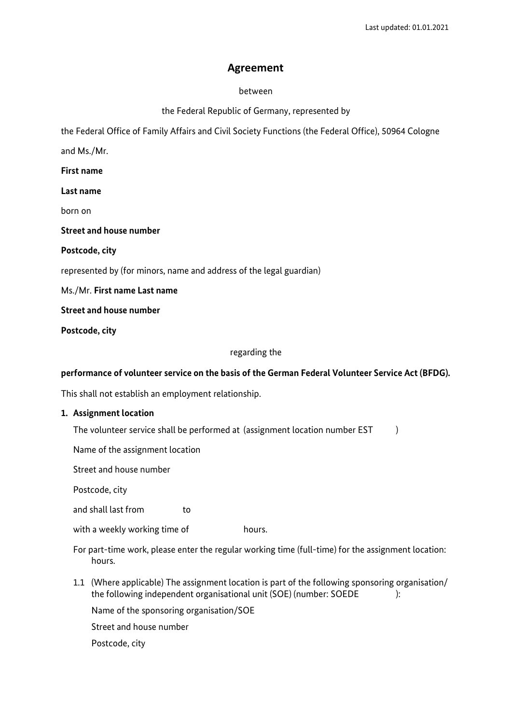# **Agreement**

#### between

the Federal Republic of Germany, represented by

the Federal Office of Family Affairs and Civil Society Functions (the Federal Office), 50964 Cologne

and Ms./Mr.

**First name** 

 **Last name** 

born on

**Street and house number** 

**Postcode, city** 

represented by (for minors, name and address of the legal guardian)

 Ms./Mr. **First name Last name** 

**Street and house number** 

**Postcode, city** 

#### regarding the

#### **performance of volunteer service on the basis of the German Federal Volunteer Service Act (BFDG).**

This shall not establish an employment relationship.

#### **1. Assignment location**

The volunteer service shall be performed at (assignment location number EST  $\qquad \, )$ 

Name of the assignment location

Street and house number

Postcode, city

and shall last from to

with a weekly working time of **hours**.

For part-time work, please enter the regular working time (full-time) for the assignment location: hours.

 the following independent organisational unit (SOE) (number: SOEDE ): 1.1 (Where applicable) The assignment location is part of the following sponsoring organisation/

Name of the sponsoring organisation/SOE

Street and house number

Postcode, city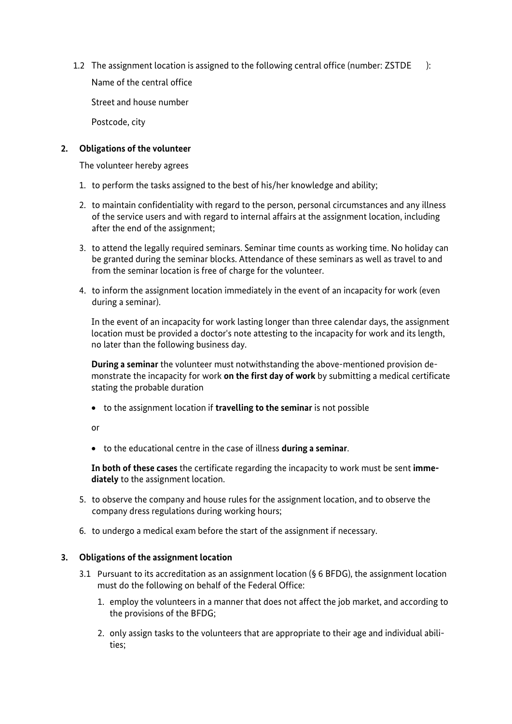1.2 The assignment location is assigned to the following central office (number: ZSTDE ):

Name of the central office

Street and house number

Postcode, city

# **2. Obligations of the volunteer**

The volunteer hereby agrees

- 1. to perform the tasks assigned to the best of his/her knowledge and ability;
- 2. to maintain confidentiality with regard to the person, personal circumstances and any illness of the service users and with regard to internal affairs at the assignment location, including after the end of the assignment;
- 3. to attend the legally required seminars. Seminar time counts as working time. No holiday can be granted during the seminar blocks. Attendance of these seminars as well as travel to and from the seminar location is free of charge for the volunteer.
- 4. to inform the assignment location immediately in the event of an incapacity for work (even during a seminar).

In the event of an incapacity for work lasting longer than three calendar days, the assignment location must be provided a doctor's note attesting to the incapacity for work and its length, no later than the following business day.

 monstrate the incapacity for work **on the first day of work** by submitting a medical certificate **During a seminar** the volunteer must notwithstanding the above-mentioned provision destating the probable duration

• to the assignment location if **travelling to the seminar** is not possible

or

• to the educational centre in the case of illness **during a seminar**.

 **In both of these cases** the certificate regarding the incapacity to work must be sent **immediately** to the assignment location.

- 5. to observe the company and house rules for the assignment location, and to observe the company dress regulations during working hours;
- 6. to undergo a medical exam before the start of the assignment if necessary.

# **3. Obligations of the assignment location**

- 3.1 Pursuant to its accreditation as an assignment location (§ 6 BFDG), the assignment location must do the following on behalf of the Federal Office:
	- 1. employ the volunteers in a manner that does not affect the job market, and according to the provisions of the BFDG;
	- 2. only assign tasks to the volunteers that are appropriate to their age and individual abilities;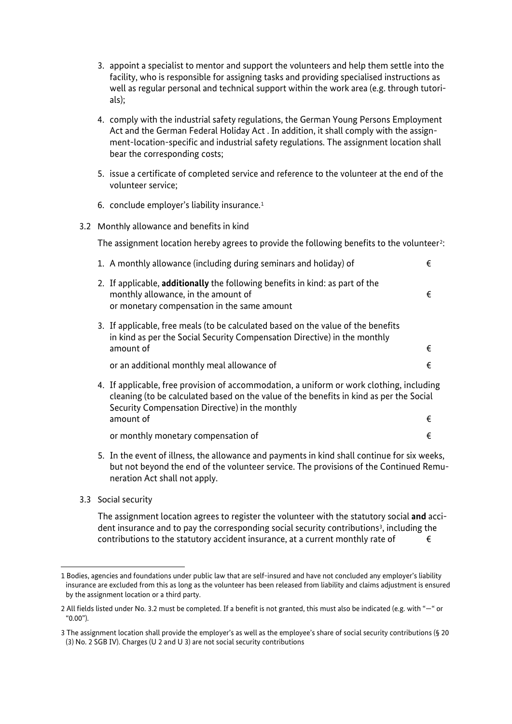- 3. appoint a specialist to mentor and support the volunteers and help them settle into the facility, who is responsible for assigning tasks and providing specialised instructions as well as regular personal and technical support within the work area (e.g. through tutorials);
- ment-location-specific and industrial safety regulations. The assignment location shall 4. comply with the industrial safety regulations, the German Young Persons Employment Act and the German Federal Holiday Act . In addition, it shall comply with the assignbear the corresponding costs;
- 5. issue a certificate of completed service and reference to the volunteer at the end of the volunteer service;
- 6. conclude employer's liability insurance.[1](#page-3-0)
- 3.2 Monthly allowance and benefits in kind

The assignment location hereby agrees to provide the following benefits to the volunteer<sup>2</sup>:

| 1. A monthly allowance (including during seminars and holiday) of                                                                                                                                                                                        | € |
|----------------------------------------------------------------------------------------------------------------------------------------------------------------------------------------------------------------------------------------------------------|---|
| 2. If applicable, additionally the following benefits in kind: as part of the<br>monthly allowance, in the amount of<br>or monetary compensation in the same amount                                                                                      | € |
| 3. If applicable, free meals (to be calculated based on the value of the benefits<br>in kind as per the Social Security Compensation Directive) in the monthly<br>amount of                                                                              | € |
| or an additional monthly meal allowance of                                                                                                                                                                                                               | € |
| 4. If applicable, free provision of accommodation, a uniform or work clothing, including<br>cleaning (to be calculated based on the value of the benefits in kind as per the Social<br>Security Compensation Directive) in the monthly<br>amount of<br>€ |   |
|                                                                                                                                                                                                                                                          |   |
| or monthly monetary compensation of                                                                                                                                                                                                                      | € |

- 5. In the event of illness, the allowance and payments in kind shall continue for six weeks, but not beyond the end of the volunteer service. The provisions of the Continued Remuneration Act shall not apply.
- 3.3 Social security

1

dent insurance and to pay the corresponding social security contributions<sup>3</sup>, including the contributions to the statutory accident insurance, at a current monthly rate of  $\epsilon$ The assignment location agrees to register the volunteer with the statutory social **and** acci-

<span id="page-3-0"></span><sup>1</sup> Bodies, agencies and foundations under public law that are self-insured and have not concluded any employer's liability insurance are excluded from this as long as the volunteer has been released from liability and claims adjustment is ensured by the assignment location or a third party.

<span id="page-3-1"></span><sup>2</sup> All fields listed under No. 3.2 must be completed. If a benefit is not granted, this must also be indicated (e.g. with "—" or "0.00").

<span id="page-3-2"></span><sup>3</sup> The assignment location shall provide the employer's as well as the employee's share of social security contributions (§ 20 (3) No. 2 SGB IV). Charges (U 2 and U 3) are not social security contributions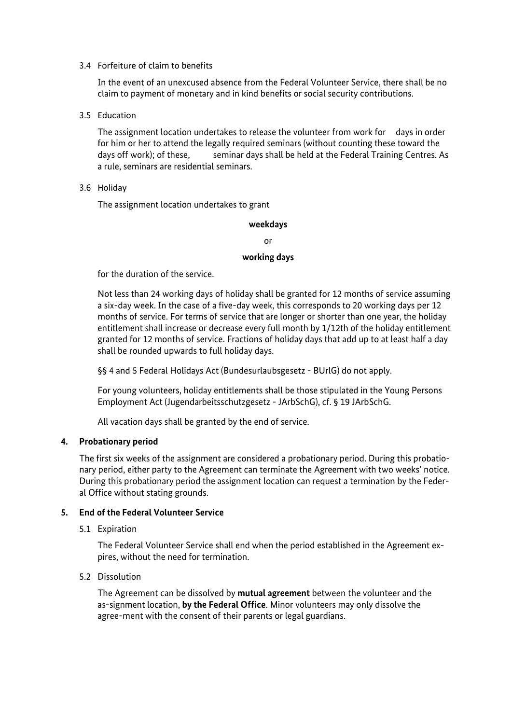#### 3.4 Forfeiture of claim to benefits

In the event of an unexcused absence from the Federal Volunteer Service, there shall be no claim to payment of monetary and in kind benefits or social security contributions.

3.5 Education

 for him or her to attend the legally required seminars (without counting these toward the days off work); of these, seminar days shall be held at the Federal Training Centres. As The assignment location undertakes to release the volunteer from work for days in order a rule, seminars are residential seminars.

3.6 Holiday

The assignment location undertakes to grant

#### **weekdays**

or

#### **working days**

for the duration of the service.

 Not less than 24 working days of holiday shall be granted for 12 months of service assuming entitlement shall increase or decrease every full month by 1/12th of the holiday entitlement granted for 12 months of service. Fractions of holiday days that add up to at least half a day shall be rounded upwards to full holiday days. a six-day week. In the case of a five-day week, this corresponds to 20 working days per 12 months of service. For terms of service that are longer or shorter than one year, the holiday

§§ 4 and 5 Federal Holidays Act (Bundesurlaubsgesetz - BUrlG) do not apply.

 For young volunteers, holiday entitlements shall be those stipulated in the Young Persons Employment Act (Jugendarbeitsschutzgesetz - JArbSchG), cf. § 19 JArbSchG.

All vacation days shall be granted by the end of service.

# **4. Probationary period**

 The first six weeks of the assignment are considered a probationary period. During this probatio- nary period, either party to the Agreement can terminate the Agreement with two weeks' notice. During this probationary period the assignment location can request a termination by the Federal Office without stating grounds.

# **5. End of the Federal Volunteer Service**

5.1 Expiration

The Federal Volunteer Service shall end when the period established in the Agreement expires, without the need for termination.

#### 5.2 Dissolution

 as-signment location, **by the Federal Office**. Minor volunteers may only dissolve the The Agreement can be dissolved by **mutual agreement** between the volunteer and the agree-ment with the consent of their parents or legal guardians.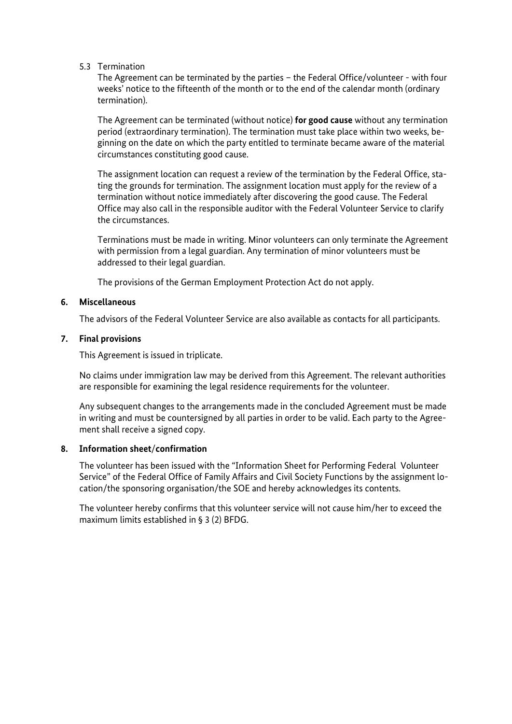#### 5.3 Termination

The Agreement can be terminated by the parties – the Federal Office/volunteer - with four weeks' notice to the fifteenth of the month or to the end of the calendar month (ordinary termination).

 The Agreement can be terminated (without notice) **for good cause** without any termination ginning on the date on which the party entitled to terminate became aware of the material period (extraordinary termination). The termination must take place within two weeks, becircumstances constituting good cause.

 ting the grounds for termination. The assignment location must apply for the review of a termination without notice immediately after discovering the good cause. The Federal Office may also call in the responsible auditor with the Federal Volunteer Service to clarify The assignment location can request a review of the termination by the Federal Office, stathe circumstances.

Terminations must be made in writing. Minor volunteers can only terminate the Agreement with permission from a legal guardian. Any termination of minor volunteers must be addressed to their legal guardian.

The provisions of the German Employment Protection Act do not apply.

#### **6. Miscellaneous**

The advisors of the Federal Volunteer Service are also available as contacts for all participants.

#### **7. Final provisions**

This Agreement is issued in triplicate.

 No claims under immigration law may be derived from this Agreement. The relevant authorities are responsible for examining the legal residence requirements for the volunteer.

 in writing and must be countersigned by all parties in order to be valid. Each party to the Agree-Any subsequent changes to the arrangements made in the concluded Agreement must be made ment shall receive a signed copy.

#### **8. Information sheet**/**confirmation**

The volunteer has been issued with the "Information Sheet for Performing Federal Volunteer Service" of the Federal Office of Family Affairs and Civil Society Functions by the assignment location/the sponsoring organisation/the SOE and hereby acknowledges its contents.

The volunteer hereby confirms that this volunteer service will not cause him/her to exceed the maximum limits established in § 3 (2) BFDG.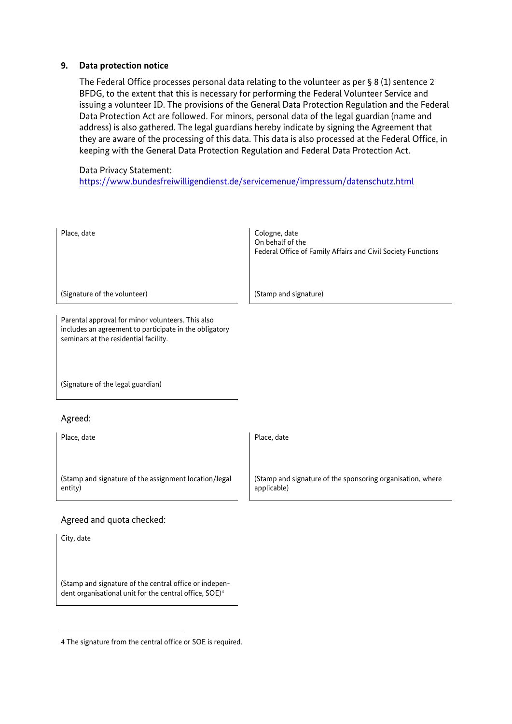#### **9. Data protection notice**

 The Federal Office processes personal data relating to the volunteer as per § 8 (1) sentence 2 BFDG, to the extent that this is necessary for performing the Federal Volunteer Service and they are aware of the processing of this data. This data is also processed at the Federal Office, in issuing a volunteer ID. The provisions of the General Data Protection Regulation and the Federal Data Protection Act are followed. For minors, personal data of the legal guardian (name and address) is also gathered. The legal guardians hereby indicate by signing the Agreement that keeping with the General Data Protection Regulation and Federal Data Protection Act.

#### Data Privacy Statement:

<https://www.bundesfreiwilligendienst.de/servicemenue/impressum/datenschutz.html>

| Place, date                                                                                                                                          | Cologne, date<br>On behalf of the<br>Federal Office of Family Affairs and Civil Society Functions |  |
|------------------------------------------------------------------------------------------------------------------------------------------------------|---------------------------------------------------------------------------------------------------|--|
| (Signature of the volunteer)                                                                                                                         | (Stamp and signature)                                                                             |  |
| Parental approval for minor volunteers. This also<br>includes an agreement to participate in the obligatory<br>seminars at the residential facility. |                                                                                                   |  |
| (Signature of the legal guardian)                                                                                                                    |                                                                                                   |  |
| Agreed:                                                                                                                                              |                                                                                                   |  |
| Place, date                                                                                                                                          | Place, date                                                                                       |  |
| (Stamp and signature of the assignment location/legal                                                                                                | (Stamp and signature of the sponsoring organisation, where                                        |  |

applicable)

# Agreed and quota checked:

City, date

entity)

1

 dent organisational unit for the central office, SOE)[4](#page-6-0)  (Stamp and signature of the central office or indepen-

<span id="page-6-0"></span>4 The signature from the central office or SOE is required.